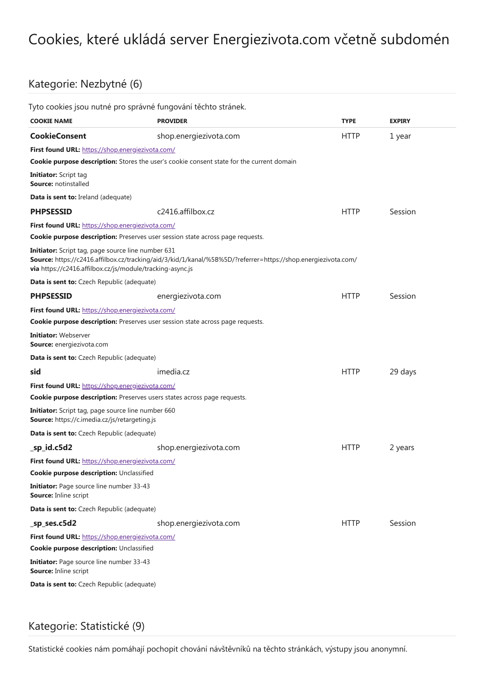## Cookies, které ukládá server Energiezivota.com včetně subdomén

## Kategorie: Nezbytné (6)

|                                                                                                                 | Tyto cookies jsou nutné pro správné fungování těchto stránek.                                                 |             |               |  |  |
|-----------------------------------------------------------------------------------------------------------------|---------------------------------------------------------------------------------------------------------------|-------------|---------------|--|--|
| <b>COOKIE NAME</b>                                                                                              | <b>PROVIDER</b>                                                                                               | <b>TYPE</b> | <b>EXPIRY</b> |  |  |
| <b>CookieConsent</b>                                                                                            | shop.energiezivota.com                                                                                        | <b>HTTP</b> | 1 year        |  |  |
| First found URL: https://shop.energiezivota.com/                                                                |                                                                                                               |             |               |  |  |
|                                                                                                                 | <b>Cookie purpose description:</b> Stores the user's cookie consent state for the current domain              |             |               |  |  |
| <b>Initiator:</b> Script tag<br><b>Source: notinstalled</b>                                                     |                                                                                                               |             |               |  |  |
| <b>Data is sent to: Ireland (adequate)</b>                                                                      |                                                                                                               |             |               |  |  |
| <b>PHPSESSID</b>                                                                                                | c2416.affilbox.cz                                                                                             | <b>HTTP</b> | Session       |  |  |
| First found URL: https://shop.energiezivota.com/                                                                |                                                                                                               |             |               |  |  |
|                                                                                                                 | <b>Cookie purpose description:</b> Preserves user session state across page requests.                         |             |               |  |  |
| Initiator: Script tag, page source line number 631<br>via https://c2416.affilbox.cz/js/module/tracking-async.js | Source: https://c2416.affilbox.cz/tracking/aid/3/kid/1/kanal/%5B%5D/?referrer=https://shop.energiezivota.com/ |             |               |  |  |
| Data is sent to: Czech Republic (adequate)                                                                      |                                                                                                               |             |               |  |  |
| <b>PHPSESSID</b>                                                                                                | energiezivota.com                                                                                             | <b>HTTP</b> | Session       |  |  |
| First found URL: https://shop.energiezivota.com/                                                                |                                                                                                               |             |               |  |  |
|                                                                                                                 | <b>Cookie purpose description:</b> Preserves user session state across page requests.                         |             |               |  |  |
| <b>Initiator: Webserver</b><br>Source: energiezivota.com                                                        |                                                                                                               |             |               |  |  |
| <b>Data is sent to:</b> Czech Republic (adequate)                                                               |                                                                                                               |             |               |  |  |
| sid                                                                                                             | imedia.cz                                                                                                     | <b>HTTP</b> | 29 days       |  |  |
| First found URL: https://shop.energiezivota.com/                                                                |                                                                                                               |             |               |  |  |
|                                                                                                                 | <b>Cookie purpose description:</b> Preserves users states across page requests.                               |             |               |  |  |
| Initiator: Script tag, page source line number 660<br>Source: https://c.imedia.cz/js/retargeting.js             |                                                                                                               |             |               |  |  |
| Data is sent to: Czech Republic (adequate)                                                                      |                                                                                                               |             |               |  |  |
| _sp_id.c5d2                                                                                                     | shop.energiezivota.com                                                                                        | <b>HTTP</b> | 2 years       |  |  |
| First found URL: https://shop.energiezivota.com/                                                                |                                                                                                               |             |               |  |  |
| Cookie purpose description: Unclassified                                                                        |                                                                                                               |             |               |  |  |
| Initiator: Page source line number 33-43<br>Source: Inline script                                               |                                                                                                               |             |               |  |  |
| Data is sent to: Czech Republic (adequate)                                                                      |                                                                                                               |             |               |  |  |
| _sp_ses.c5d2                                                                                                    | shop.energiezivota.com                                                                                        | <b>HTTP</b> | Session       |  |  |
| First found URL: https://shop.energiezivota.com/                                                                |                                                                                                               |             |               |  |  |
| <b>Cookie purpose description: Unclassified</b>                                                                 |                                                                                                               |             |               |  |  |
| <b>Initiator:</b> Page source line number 33-43<br>Source: Inline script                                        |                                                                                                               |             |               |  |  |
| Data is sent to: Czech Republic (adequate)                                                                      |                                                                                                               |             |               |  |  |
|                                                                                                                 |                                                                                                               |             |               |  |  |

## Kategorie: Statistické (9)

Statistické cookies nám pomáhají pochopit chování návštěvníků na těchto stránkách, výstupy jsou anonymní.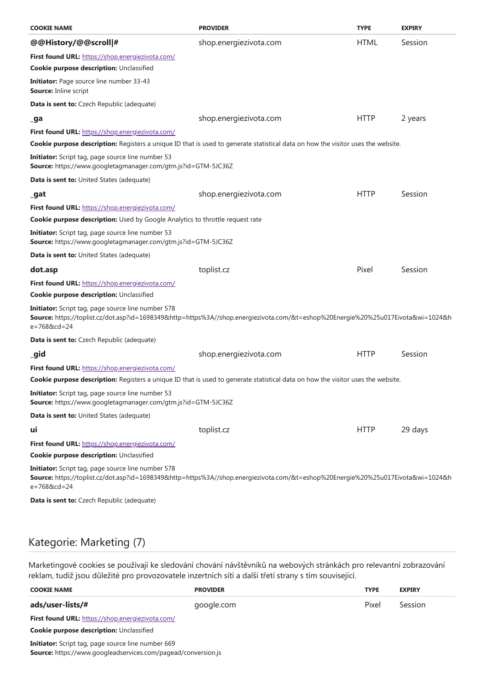| <b>COOKIE NAME</b>                                                                                                                                                                                           | <b>PROVIDER</b>        | <b>TYPE</b> | <b>EXPIRY</b> |
|--------------------------------------------------------------------------------------------------------------------------------------------------------------------------------------------------------------|------------------------|-------------|---------------|
| @@History/@@scroll #                                                                                                                                                                                         | shop.energiezivota.com | <b>HTML</b> | Session       |
| First found URL: https://shop.energiezivota.com/                                                                                                                                                             |                        |             |               |
| Cookie purpose description: Unclassified                                                                                                                                                                     |                        |             |               |
| <b>Initiator:</b> Page source line number 33-43<br><b>Source: Inline script</b>                                                                                                                              |                        |             |               |
| Data is sent to: Czech Republic (adequate)                                                                                                                                                                   |                        |             |               |
| _ga                                                                                                                                                                                                          | shop.energiezivota.com | <b>HTTP</b> | 2 years       |
| First found URL: https://shop.energiezivota.com/                                                                                                                                                             |                        |             |               |
| Cookie purpose description: Registers a unique ID that is used to generate statistical data on how the visitor uses the website.                                                                             |                        |             |               |
| <b>Initiator:</b> Script tag, page source line number 53<br>Source: https://www.googletagmanager.com/gtm.js?id=GTM-5JC36Z                                                                                    |                        |             |               |
| <b>Data is sent to: United States (adequate)</b>                                                                                                                                                             |                        |             |               |
| _gat                                                                                                                                                                                                         | shop.energiezivota.com | <b>HTTP</b> | Session       |
| First found URL: https://shop.energiezivota.com/                                                                                                                                                             |                        |             |               |
| <b>Cookie purpose description:</b> Used by Google Analytics to throttle request rate                                                                                                                         |                        |             |               |
| <b>Initiator:</b> Script tag, page source line number 53<br>Source: https://www.googletagmanager.com/gtm.js?id=GTM-5JC36Z                                                                                    |                        |             |               |
| <b>Data is sent to: United States (adequate)</b>                                                                                                                                                             |                        |             |               |
| dot.asp                                                                                                                                                                                                      | toplist.cz             | Pixel       | Session       |
| First found URL: https://shop.energiezivota.com/                                                                                                                                                             |                        |             |               |
| Cookie purpose description: Unclassified                                                                                                                                                                     |                        |             |               |
| Initiator: Script tag, page source line number 578<br>Source: https://toplist.cz/dot.asp?id=1698349&http=https%3A//shop.energiezivota.com/&t=eshop%20Energie%20%25u017Eivota&wi=1024&h<br>$e = 7688c d = 24$ |                        |             |               |
| Data is sent to: Czech Republic (adequate)                                                                                                                                                                   |                        |             |               |
| _gid                                                                                                                                                                                                         | shop.energiezivota.com | <b>HTTP</b> | Session       |
| First found URL: https://shop.energiezivota.com/                                                                                                                                                             |                        |             |               |
| Cookie purpose description: Registers a unique ID that is used to generate statistical data on how the visitor uses the website.                                                                             |                        |             |               |
| Initiator: Script tag, page source line number 53<br>Source: https://www.googletagmanager.com/gtm.js?id=GTM-5JC36Z                                                                                           |                        |             |               |
| Data is sent to: United States (adequate)                                                                                                                                                                    |                        |             |               |
| ui                                                                                                                                                                                                           | toplist.cz             | <b>HTTP</b> | 29 days       |
| First found URL: https://shop.energiezivota.com/                                                                                                                                                             |                        |             |               |
| Cookie purpose description: Unclassified                                                                                                                                                                     |                        |             |               |
| Initiator: Script tag, page source line number 578<br>Source: https://toplist.cz/dot.asp?id=1698349&http=https%3A//shop.energiezivota.com/&t=eshop%20Energie%20%25u017Eivota&wi=1024&h<br>$e = 7688c d = 24$ |                        |             |               |
| Data is sent to: Czech Republic (adequate)                                                                                                                                                                   |                        |             |               |

## Kategorie: Marketing (7)

Marketingové cookies se používají ke sledování chování návštěvníků na webových stránkách pro relevantní zobrazování reklam, tudíž jsou důležité pro provozovatele inzertních sítí a další třetí strany s tím související.

| <b>COOKIE NAME</b>                                        | <b>PROVIDER</b> | <b>TYPE</b> | <b>EXPIRY</b> |  |
|-----------------------------------------------------------|-----------------|-------------|---------------|--|
| ads/user-lists/#                                          | google.com      | Pixel       | Session       |  |
| First found URL: https://shop.energiezivota.com/          |                 |             |               |  |
| <b>Cookie purpose description: Unclassified</b>           |                 |             |               |  |
| <b>Initiator:</b> Script tag, page source line number 669 |                 |             |               |  |

Source: https://www.googleadservices.com/pagead/conversion.js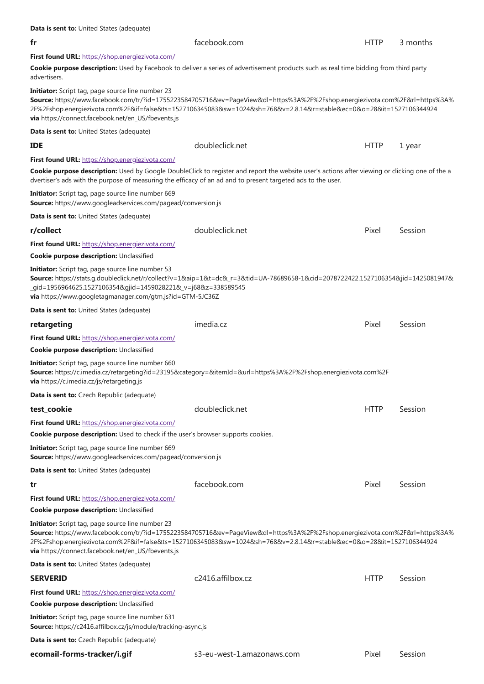| Data is sent to: United States (adequate)                                                                                                                                                                                                                                                                                                                            |                                                                                                                                                                                                                                                    |             |          |  |  |
|----------------------------------------------------------------------------------------------------------------------------------------------------------------------------------------------------------------------------------------------------------------------------------------------------------------------------------------------------------------------|----------------------------------------------------------------------------------------------------------------------------------------------------------------------------------------------------------------------------------------------------|-------------|----------|--|--|
| fr                                                                                                                                                                                                                                                                                                                                                                   | facebook.com                                                                                                                                                                                                                                       | <b>HTTP</b> | 3 months |  |  |
| First found URL: https://shop.energiezivota.com/                                                                                                                                                                                                                                                                                                                     |                                                                                                                                                                                                                                                    |             |          |  |  |
| advertisers.                                                                                                                                                                                                                                                                                                                                                         | Cookie purpose description: Used by Facebook to deliver a series of advertisement products such as real time bidding from third party                                                                                                              |             |          |  |  |
| <b>Initiator:</b> Script tag, page source line number 23<br>via https://connect.facebook.net/en_US/fbevents.js                                                                                                                                                                                                                                                       | Source: https://www.facebook.com/tr/?id=1755223584705716&ev=PageView&dl=https%3A%2F%2Fshop.energiezivota.com%2F&rl=https%3A%<br>2F%2Fshop.energiezivota.com%2F&if=false&ts=1527106345083&sw=1024&sh=768&v=2.8.14&r=stable&ec=0&o=28⁢=1527106344924 |             |          |  |  |
| Data is sent to: United States (adequate)                                                                                                                                                                                                                                                                                                                            |                                                                                                                                                                                                                                                    |             |          |  |  |
| <b>IDE</b>                                                                                                                                                                                                                                                                                                                                                           | doubleclick.net                                                                                                                                                                                                                                    | <b>HTTP</b> | 1 year   |  |  |
| First found URL: https://shop.energiezivota.com/                                                                                                                                                                                                                                                                                                                     |                                                                                                                                                                                                                                                    |             |          |  |  |
| dvertiser's ads with the purpose of measuring the efficacy of an ad and to present targeted ads to the user.                                                                                                                                                                                                                                                         | Cookie purpose description: Used by Google DoubleClick to register and report the website user's actions after viewing or clicking one of the a                                                                                                    |             |          |  |  |
| Initiator: Script tag, page source line number 669<br>Source: https://www.googleadservices.com/pagead/conversion.js                                                                                                                                                                                                                                                  |                                                                                                                                                                                                                                                    |             |          |  |  |
| <b>Data is sent to: United States (adequate)</b>                                                                                                                                                                                                                                                                                                                     |                                                                                                                                                                                                                                                    |             |          |  |  |
| r/collect                                                                                                                                                                                                                                                                                                                                                            | doubleclick.net                                                                                                                                                                                                                                    | Pixel       | Session  |  |  |
| First found URL: https://shop.energiezivota.com/                                                                                                                                                                                                                                                                                                                     |                                                                                                                                                                                                                                                    |             |          |  |  |
| Cookie purpose description: Unclassified                                                                                                                                                                                                                                                                                                                             |                                                                                                                                                                                                                                                    |             |          |  |  |
| Initiator: Script tag, page source line number 53<br>Source: https://stats.g.doubleclick.net/r/collect?v=1&aip=1&t=dc&_r=3&tid=UA-78689658-1&cid=2078722422.1527106354&jid=1425081947&<br>_gid=1956964625.1527106354&gjid=1459028221&_v=j68&z=338589545<br>via https://www.googletagmanager.com/gtm.js?id=GTM-5JC36Z                                                 |                                                                                                                                                                                                                                                    |             |          |  |  |
| <b>Data is sent to: United States (adequate)</b>                                                                                                                                                                                                                                                                                                                     |                                                                                                                                                                                                                                                    |             |          |  |  |
| retargeting                                                                                                                                                                                                                                                                                                                                                          | imedia.cz                                                                                                                                                                                                                                          | Pixel       | Session  |  |  |
| First found URL: https://shop.energiezivota.com/                                                                                                                                                                                                                                                                                                                     |                                                                                                                                                                                                                                                    |             |          |  |  |
| Cookie purpose description: Unclassified                                                                                                                                                                                                                                                                                                                             |                                                                                                                                                                                                                                                    |             |          |  |  |
| Initiator: Script tag, page source line number 660<br>Source: https://c.imedia.cz/retargeting?id=23195&category=&itemId=&url=https%3A%2F%2Fshop.energiezivota.com%2F<br>via https://c.imedia.cz/js/retargeting.js                                                                                                                                                    |                                                                                                                                                                                                                                                    |             |          |  |  |
| Data is sent to: Czech Republic (adequate)                                                                                                                                                                                                                                                                                                                           |                                                                                                                                                                                                                                                    |             |          |  |  |
| test_cookie                                                                                                                                                                                                                                                                                                                                                          | doubleclick.net                                                                                                                                                                                                                                    | <b>HTTP</b> | Session  |  |  |
| First found URL: https://shop.energiezivota.com/                                                                                                                                                                                                                                                                                                                     |                                                                                                                                                                                                                                                    |             |          |  |  |
| <b>Cookie purpose description:</b> Used to check if the user's browser supports cookies.                                                                                                                                                                                                                                                                             |                                                                                                                                                                                                                                                    |             |          |  |  |
| <b>Initiator:</b> Script tag, page source line number 669<br>Source: https://www.googleadservices.com/pagead/conversion.js                                                                                                                                                                                                                                           |                                                                                                                                                                                                                                                    |             |          |  |  |
| Data is sent to: United States (adequate)                                                                                                                                                                                                                                                                                                                            |                                                                                                                                                                                                                                                    |             |          |  |  |
| tr                                                                                                                                                                                                                                                                                                                                                                   | facebook.com                                                                                                                                                                                                                                       | Pixel       | Session  |  |  |
| First found URL: https://shop.energiezivota.com/                                                                                                                                                                                                                                                                                                                     |                                                                                                                                                                                                                                                    |             |          |  |  |
| Cookie purpose description: Unclassified                                                                                                                                                                                                                                                                                                                             |                                                                                                                                                                                                                                                    |             |          |  |  |
| <b>Initiator:</b> Script tag, page source line number 23<br>Source: https://www.facebook.com/tr/?id=1755223584705716&ev=PageView&dl=https%3A%2F%2Fshop.energiezivota.com%2F&rl=https%3A%<br>2F%2Fshop.energiezivota.com%2F&if=false&ts=1527106345083&sw=1024&sh=768&v=2.8.14&r=stable&ec=0&o=28⁢=1527106344924<br>via https://connect.facebook.net/en_US/fbevents.js |                                                                                                                                                                                                                                                    |             |          |  |  |
| <b>Data is sent to: United States (adequate)</b>                                                                                                                                                                                                                                                                                                                     |                                                                                                                                                                                                                                                    |             |          |  |  |
| <b>SERVERID</b>                                                                                                                                                                                                                                                                                                                                                      | c2416.affilbox.cz                                                                                                                                                                                                                                  | <b>HTTP</b> | Session  |  |  |
| First found URL: https://shop.energiezivota.com/                                                                                                                                                                                                                                                                                                                     |                                                                                                                                                                                                                                                    |             |          |  |  |
| Cookie purpose description: Unclassified                                                                                                                                                                                                                                                                                                                             |                                                                                                                                                                                                                                                    |             |          |  |  |
| <b>Initiator:</b> Script tag, page source line number 631<br>Source: https://c2416.affilbox.cz/js/module/tracking-async.js                                                                                                                                                                                                                                           |                                                                                                                                                                                                                                                    |             |          |  |  |
| Data is sent to: Czech Republic (adequate)                                                                                                                                                                                                                                                                                                                           |                                                                                                                                                                                                                                                    |             |          |  |  |
| ecomail-forms-tracker/i.gif                                                                                                                                                                                                                                                                                                                                          | s3-eu-west-1.amazonaws.com                                                                                                                                                                                                                         | Pixel       | Session  |  |  |